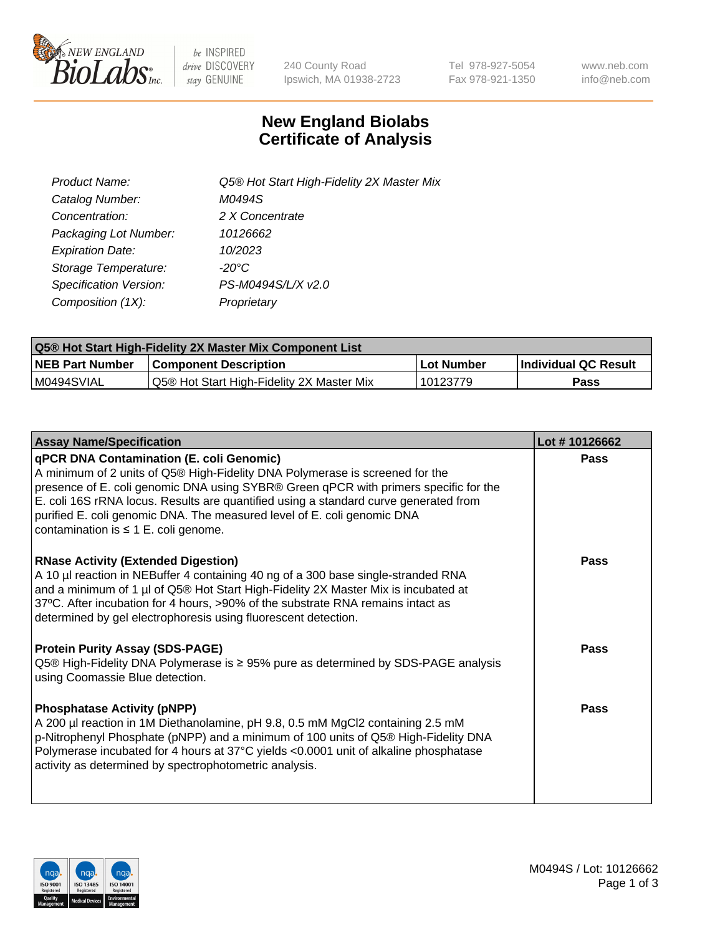

be INSPIRED drive DISCOVERY stay GENUINE

240 County Road Ipswich, MA 01938-2723 Tel 978-927-5054 Fax 978-921-1350 www.neb.com info@neb.com

## **New England Biolabs Certificate of Analysis**

| Product Name:           | Q5® Hot Start High-Fidelity 2X Master Mix |
|-------------------------|-------------------------------------------|
| Catalog Number:         | M0494S                                    |
| Concentration:          | 2 X Concentrate                           |
| Packaging Lot Number:   | 10126662                                  |
| <b>Expiration Date:</b> | 10/2023                                   |
| Storage Temperature:    | $-20^{\circ}$ C                           |
| Specification Version:  | PS-M0494S/L/X v2.0                        |
| Composition (1X):       | Proprietary                               |

| <b>Q5® Hot Start High-Fidelity 2X Master Mix Component List</b> |                                           |             |                      |  |  |
|-----------------------------------------------------------------|-------------------------------------------|-------------|----------------------|--|--|
| <b>NEB Part Number</b>                                          | Component Description_                    | ∣Lot Number | Individual QC Result |  |  |
| I M0494SVIAL                                                    | Q5® Hot Start High-Fidelity 2X Master Mix | 10123779    | Pass                 |  |  |

| <b>Assay Name/Specification</b>                                                                                                                                                                                                                                                                                                                                                                                                         | Lot #10126662 |
|-----------------------------------------------------------------------------------------------------------------------------------------------------------------------------------------------------------------------------------------------------------------------------------------------------------------------------------------------------------------------------------------------------------------------------------------|---------------|
| <b>qPCR DNA Contamination (E. coli Genomic)</b><br>A minimum of 2 units of Q5® High-Fidelity DNA Polymerase is screened for the<br>presence of E. coli genomic DNA using SYBR® Green qPCR with primers specific for the<br>E. coli 16S rRNA locus. Results are quantified using a standard curve generated from<br>purified E. coli genomic DNA. The measured level of E. coli genomic DNA<br>contamination is $\leq 1$ E. coli genome. | Pass          |
| <b>RNase Activity (Extended Digestion)</b><br>A 10 µl reaction in NEBuffer 4 containing 40 ng of a 300 base single-stranded RNA<br>and a minimum of 1 µl of Q5® Hot Start High-Fidelity 2X Master Mix is incubated at<br>37°C. After incubation for 4 hours, >90% of the substrate RNA remains intact as<br>determined by gel electrophoresis using fluorescent detection.                                                              | Pass          |
| <b>Protein Purity Assay (SDS-PAGE)</b><br>Q5® High-Fidelity DNA Polymerase is ≥ 95% pure as determined by SDS-PAGE analysis<br>using Coomassie Blue detection.                                                                                                                                                                                                                                                                          | Pass          |
| <b>Phosphatase Activity (pNPP)</b><br>A 200 µl reaction in 1M Diethanolamine, pH 9.8, 0.5 mM MgCl2 containing 2.5 mM<br>p-Nitrophenyl Phosphate (pNPP) and a minimum of 100 units of Q5® High-Fidelity DNA<br>Polymerase incubated for 4 hours at 37°C yields <0.0001 unit of alkaline phosphatase<br>activity as determined by spectrophotometric analysis.                                                                            | Pass          |

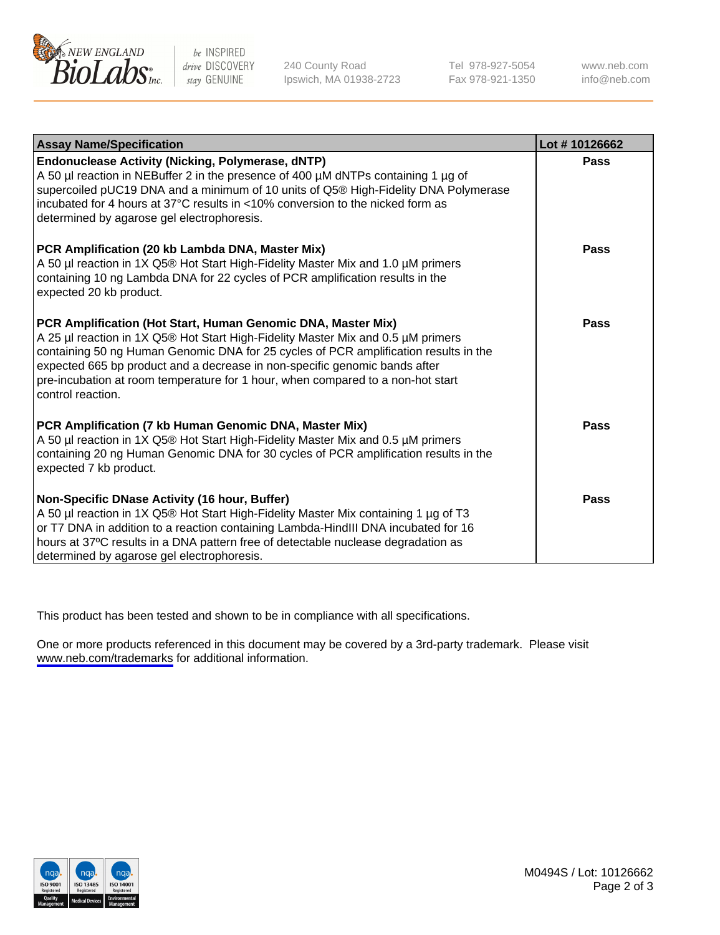

be INSPIRED drive DISCOVERY stay GENUINE

240 County Road Ipswich, MA 01938-2723 Tel 978-927-5054 Fax 978-921-1350

www.neb.com info@neb.com

| <b>Assay Name/Specification</b>                                                                                                                                                                                                                                                                                                                                                                                                | Lot #10126662 |
|--------------------------------------------------------------------------------------------------------------------------------------------------------------------------------------------------------------------------------------------------------------------------------------------------------------------------------------------------------------------------------------------------------------------------------|---------------|
| Endonuclease Activity (Nicking, Polymerase, dNTP)<br>A 50 µl reaction in NEBuffer 2 in the presence of 400 µM dNTPs containing 1 µg of<br>supercoiled pUC19 DNA and a minimum of 10 units of Q5® High-Fidelity DNA Polymerase<br>incubated for 4 hours at 37°C results in <10% conversion to the nicked form as<br>determined by agarose gel electrophoresis.                                                                  | <b>Pass</b>   |
| PCR Amplification (20 kb Lambda DNA, Master Mix)<br>A 50 µl reaction in 1X Q5® Hot Start High-Fidelity Master Mix and 1.0 µM primers<br>containing 10 ng Lambda DNA for 22 cycles of PCR amplification results in the<br>expected 20 kb product.                                                                                                                                                                               | <b>Pass</b>   |
| PCR Amplification (Hot Start, Human Genomic DNA, Master Mix)<br>A 25 µl reaction in 1X Q5® Hot Start High-Fidelity Master Mix and 0.5 µM primers<br>containing 50 ng Human Genomic DNA for 25 cycles of PCR amplification results in the<br>expected 665 bp product and a decrease in non-specific genomic bands after<br>pre-incubation at room temperature for 1 hour, when compared to a non-hot start<br>control reaction. | Pass          |
| PCR Amplification (7 kb Human Genomic DNA, Master Mix)<br>A 50 µl reaction in 1X Q5® Hot Start High-Fidelity Master Mix and 0.5 µM primers<br>containing 20 ng Human Genomic DNA for 30 cycles of PCR amplification results in the<br>expected 7 kb product.                                                                                                                                                                   | <b>Pass</b>   |
| Non-Specific DNase Activity (16 hour, Buffer)<br>A 50 µl reaction in 1X Q5® Hot Start High-Fidelity Master Mix containing 1 µg of T3<br>or T7 DNA in addition to a reaction containing Lambda-HindIII DNA incubated for 16<br>hours at 37°C results in a DNA pattern free of detectable nuclease degradation as<br>determined by agarose gel electrophoresis.                                                                  | <b>Pass</b>   |

This product has been tested and shown to be in compliance with all specifications.

One or more products referenced in this document may be covered by a 3rd-party trademark. Please visit <www.neb.com/trademarks>for additional information.